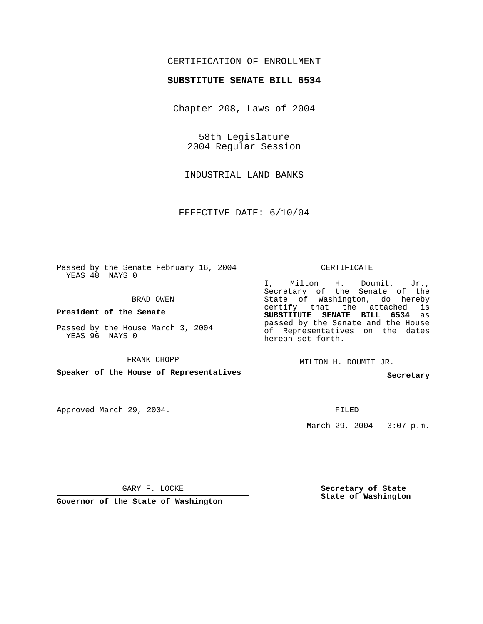## CERTIFICATION OF ENROLLMENT

## **SUBSTITUTE SENATE BILL 6534**

Chapter 208, Laws of 2004

58th Legislature 2004 Regular Session

INDUSTRIAL LAND BANKS

EFFECTIVE DATE: 6/10/04

Passed by the Senate February 16, 2004 YEAS 48 NAYS 0

BRAD OWEN

**President of the Senate**

Passed by the House March 3, 2004 YEAS 96 NAYS 0

FRANK CHOPP

**Speaker of the House of Representatives**

Approved March 29, 2004.

CERTIFICATE

I, Milton H. Doumit, Jr., Secretary of the Senate of the State of Washington, do hereby certify that the attached is **SUBSTITUTE SENATE BILL 6534** as passed by the Senate and the House of Representatives on the dates hereon set forth.

MILTON H. DOUMIT JR.

**Secretary**

FILED

March 29, 2004 -  $3:07$  p.m.

GARY F. LOCKE

**Governor of the State of Washington**

**Secretary of State State of Washington**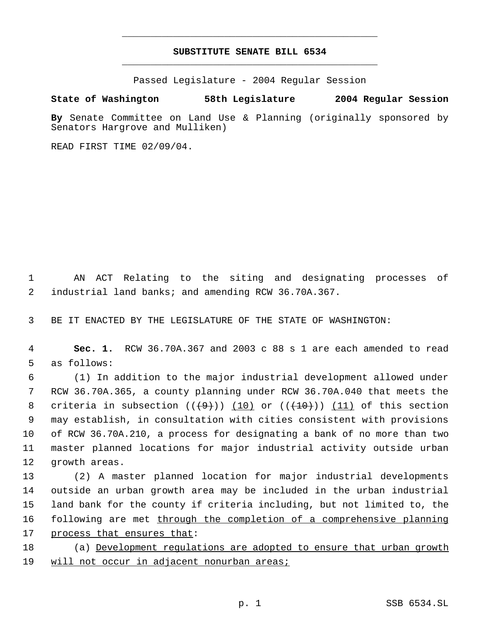## **SUBSTITUTE SENATE BILL 6534** \_\_\_\_\_\_\_\_\_\_\_\_\_\_\_\_\_\_\_\_\_\_\_\_\_\_\_\_\_\_\_\_\_\_\_\_\_\_\_\_\_\_\_\_\_

\_\_\_\_\_\_\_\_\_\_\_\_\_\_\_\_\_\_\_\_\_\_\_\_\_\_\_\_\_\_\_\_\_\_\_\_\_\_\_\_\_\_\_\_\_

Passed Legislature - 2004 Regular Session

## **State of Washington 58th Legislature 2004 Regular Session**

**By** Senate Committee on Land Use & Planning (originally sponsored by Senators Hargrove and Mulliken)

READ FIRST TIME 02/09/04.

 1 AN ACT Relating to the siting and designating processes of 2 industrial land banks; and amending RCW 36.70A.367.

3 BE IT ENACTED BY THE LEGISLATURE OF THE STATE OF WASHINGTON:

 4 **Sec. 1.** RCW 36.70A.367 and 2003 c 88 s 1 are each amended to read 5 as follows:

 (1) In addition to the major industrial development allowed under RCW 36.70A.365, a county planning under RCW 36.70A.040 that meets the 8 criteria in subsection  $((+9+))$   $(10)$  or  $((+10+))$   $(11)$  of this section may establish, in consultation with cities consistent with provisions of RCW 36.70A.210, a process for designating a bank of no more than two master planned locations for major industrial activity outside urban growth areas.

 (2) A master planned location for major industrial developments outside an urban growth area may be included in the urban industrial land bank for the county if criteria including, but not limited to, the 16 following are met through the completion of a comprehensive planning process that ensures that:

18 (a) Development regulations are adopted to ensure that urban growth 19 will not occur in adjacent nonurban areas;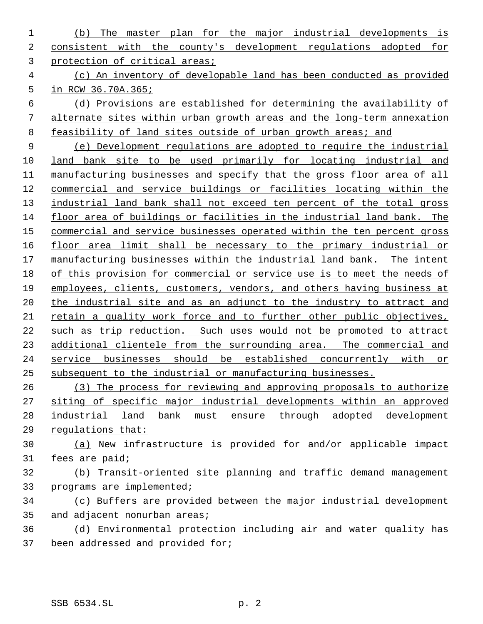(b) The master plan for the major industrial developments is consistent with the county's development regulations adopted for protection of critical areas;

 (c) An inventory of developable land has been conducted as provided in RCW 36.70A.365;

 (d) Provisions are established for determining the availability of alternate sites within urban growth areas and the long-term annexation 8 feasibility of land sites outside of urban growth areas; and

 (e) Development regulations are adopted to require the industrial land bank site to be used primarily for locating industrial and manufacturing businesses and specify that the gross floor area of all commercial and service buildings or facilities locating within the 13 industrial land bank shall not exceed ten percent of the total gross floor area of buildings or facilities in the industrial land bank. The commercial and service businesses operated within the ten percent gross 16 floor area limit shall be necessary to the primary industrial or 17 manufacturing businesses within the industrial land bank. The intent of this provision for commercial or service use is to meet the needs of employees, clients, customers, vendors, and others having business at 20 the industrial site and as an adjunct to the industry to attract and retain a quality work force and to further other public objectives, such as trip reduction. Such uses would not be promoted to attract 23 additional clientele from the surrounding area. The commercial and service businesses should be established concurrently with or subsequent to the industrial or manufacturing businesses.

 (3) The process for reviewing and approving proposals to authorize siting of specific major industrial developments within an approved industrial land bank must ensure through adopted development regulations that:

 (a) New infrastructure is provided for and/or applicable impact fees are paid;

 (b) Transit-oriented site planning and traffic demand management programs are implemented;

 (c) Buffers are provided between the major industrial development and adjacent nonurban areas;

 (d) Environmental protection including air and water quality has been addressed and provided for;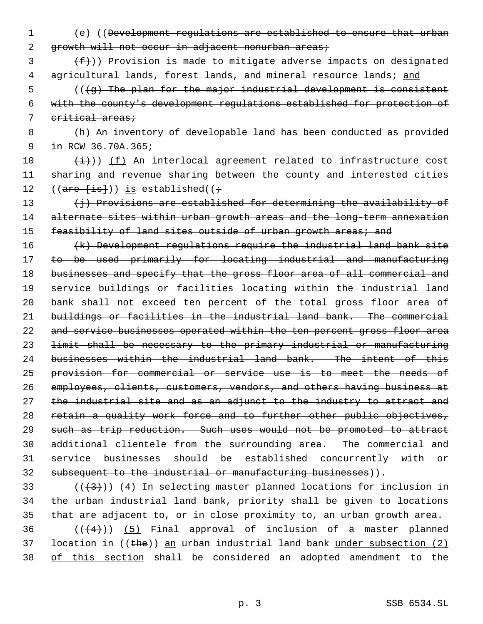- 1 (e) ((Development regulations are established to ensure that urban 2 growth will not occur in adjacent nonurban areas;
- $\{\text{f}\}\$  (f)) Provision is made to mitigate adverse impacts on designated 4 agricultural lands, forest lands, and mineral resource lands; and
- $5$  (( $\left(\frac{1}{9}\right)$  The plan for the major industrial development is consistent 6 with the county's development regulations established for protection of 7 critical areas;
- 8 (h) An inventory of developable land has been conducted as provided 9  $in$  RCW 36.70A.365;
- 10  $(\frac{1}{1})$ ) (f) An interlocal agreement related to infrastructure cost 11 sharing and revenue sharing between the county and interested cities 12  $((\text{are } \{ \text{is} \}) )$  is established( $(\div$
- 13 (j) Provisions are established for determining the availability of 14 alternate sites within urban growth areas and the long-term annexation 15 feasibility of land sites outside of urban growth areas; and
- 16 (k) Development regulations require the industrial land bank site 17 to be used primarily for locating industrial and manufacturing 18 businesses and specify that the gross floor area of all commercial and 19 service buildings or facilities locating within the industrial land 20 bank shall not exceed ten percent of the total gross floor area of 21 buildings or facilities in the industrial land bank. The commercial 22 and service businesses operated within the ten percent gross floor area 23 limit shall be necessary to the primary industrial or manufacturing 24 businesses within the industrial land bank. The intent of this 25 provision for commercial or service use is to meet the needs of 26 employees, clients, customers, vendors, and others having business at 27 the industrial site and as an adjunct to the industry to attract and 28 retain a quality work force and to further other public objectives, 29 such as trip reduction. Such uses would not be promoted to attract 30 additional clientele from the surrounding area. The commercial and 31 service businesses should be established concurrently with or 32 subsequent to the industrial or manufacturing businesses)).
- 33 ( $(\overline{+3})$ ) (4) In selecting master planned locations for inclusion in 34 the urban industrial land bank, priority shall be given to locations 35 that are adjacent to, or in close proximity to, an urban growth area.
- 36  $((+4))$  (5) Final approval of inclusion of a master planned 37 location in  $((the)$ ) an urban industrial land bank under subsection  $(2)$ 38 of this section shall be considered an adopted amendment to the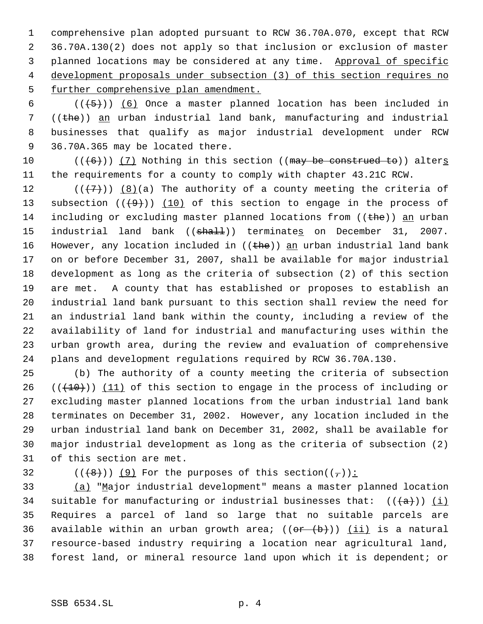comprehensive plan adopted pursuant to RCW 36.70A.070, except that RCW 36.70A.130(2) does not apply so that inclusion or exclusion of master 3 planned locations may be considered at any time. Approval of specific development proposals under subsection (3) of this section requires no 5 further comprehensive plan amendment.

 $((+5))$   $(6)$  Once a master planned location has been included in  $((the)$ ) an urban industrial land bank, manufacturing and industrial businesses that qualify as major industrial development under RCW 36.70A.365 may be located there.

 $((\text{(+6)}))$  (7) Nothing in this section ((may be construed to)) alters the requirements for a county to comply with chapter 43.21C RCW.

 $((+7))$   $(8)(a)$  The authority of a county meeting the criteria of 13 subsection  $((+9))$  (10) of this section to engage in the process of 14 including or excluding master planned locations from ((the)) an urban 15 industrial land bank ((shall)) terminates on December 31, 2007. 16 However, any location included in  $((the h e))$  an urban industrial land bank on or before December 31, 2007, shall be available for major industrial development as long as the criteria of subsection (2) of this section are met. A county that has established or proposes to establish an industrial land bank pursuant to this section shall review the need for an industrial land bank within the county, including a review of the availability of land for industrial and manufacturing uses within the urban growth area, during the review and evaluation of comprehensive plans and development regulations required by RCW 36.70A.130.

 (b) The authority of a county meeting the criteria of subsection  $((+10))$  (11) of this section to engage in the process of including or excluding master planned locations from the urban industrial land bank terminates on December 31, 2002. However, any location included in the urban industrial land bank on December 31, 2002, shall be available for major industrial development as long as the criteria of subsection (2) of this section are met.

32 ( $(\overline{+8})$ ) (9) For the purposes of this section( $(\frac{1}{2})$ ):

 (a) "Major industrial development" means a master planned location 34 suitable for manufacturing or industrial businesses that:  $((a))$  (i) Requires a parcel of land so large that no suitable parcels are 36 available within an urban growth area;  $((\theta \cdot \theta +))$  (ii) is a natural resource-based industry requiring a location near agricultural land, forest land, or mineral resource land upon which it is dependent; or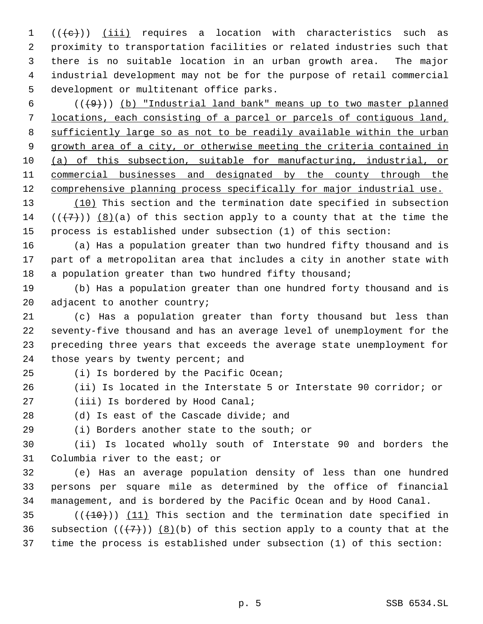$((e))$   $(iii)$  requires a location with characteristics such as proximity to transportation facilities or related industries such that there is no suitable location in an urban growth area. The major industrial development may not be for the purpose of retail commercial development or multitenant office parks.

 ( $(\frac{49}{1})$ ) (b) "Industrial land bank" means up to two master planned locations, each consisting of a parcel or parcels of contiguous land, sufficiently large so as not to be readily available within the urban growth area of a city, or otherwise meeting the criteria contained in (a) of this subsection, suitable for manufacturing, industrial, or commercial businesses and designated by the county through the 12 comprehensive planning process specifically for major industrial use.

13 (10) This section and the termination date specified in subsection 14  $((+7))$  (8)(a) of this section apply to a county that at the time the process is established under subsection (1) of this section:

 (a) Has a population greater than two hundred fifty thousand and is part of a metropolitan area that includes a city in another state with 18 a population greater than two hundred fifty thousand;

 (b) Has a population greater than one hundred forty thousand and is 20 adjacent to another country;

 (c) Has a population greater than forty thousand but less than seventy-five thousand and has an average level of unemployment for the preceding three years that exceeds the average state unemployment for 24 those years by twenty percent; and

(i) Is bordered by the Pacific Ocean;

(ii) Is located in the Interstate 5 or Interstate 90 corridor; or

(iii) Is bordered by Hood Canal;

(d) Is east of the Cascade divide; and

(i) Borders another state to the south; or

 (ii) Is located wholly south of Interstate 90 and borders the Columbia river to the east; or

 (e) Has an average population density of less than one hundred persons per square mile as determined by the office of financial management, and is bordered by the Pacific Ocean and by Hood Canal.

35  $((+10))$   $(11)$  This section and the termination date specified in 36 subsection  $((+7))$  (8)(b) of this section apply to a county that at the time the process is established under subsection (1) of this section: